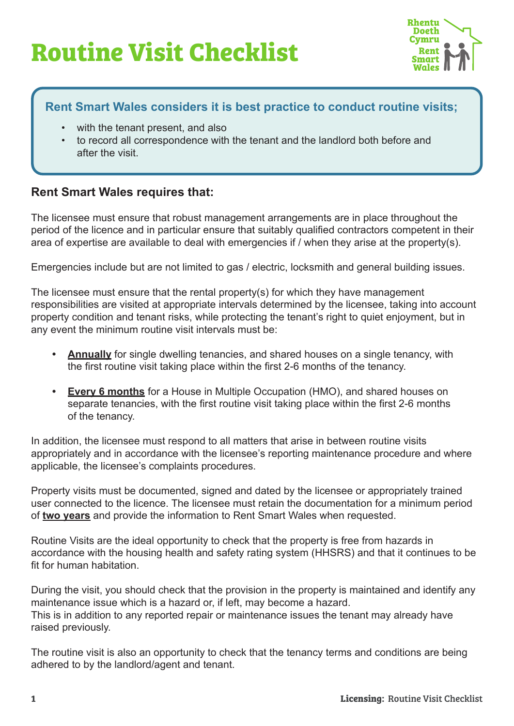# **Routine Visit Checklist**



## **Rent Smart Wales considers it is best practice to conduct routine visits;**

- with the tenant present, and also
- to record all correspondence with the tenant and the landlord both before and after the visit.

### **Rent Smart Wales requires that:**

The licensee must ensure that robust management arrangements are in place throughout the period of the licence and in particular ensure that suitably qualified contractors competent in their area of expertise are available to deal with emergencies if / when they arise at the property(s).

Emergencies include but are not limited to gas / electric, locksmith and general building issues.

The licensee must ensure that the rental property(s) for which they have management responsibilities are visited at appropriate intervals determined by the licensee, taking into account property condition and tenant risks, while protecting the tenant's right to quiet enjoyment, but in any event the minimum routine visit intervals must be:

- **• Annually** for single dwelling tenancies, and shared houses on a single tenancy, with the first routine visit taking place within the first 2-6 months of the tenancy.
- **• Every 6 months** for a House in Multiple Occupation (HMO), and shared houses on separate tenancies, with the first routine visit taking place within the first 2-6 months of the tenancy.

In addition, the licensee must respond to all matters that arise in between routine visits appropriately and in accordance with the licensee's reporting maintenance procedure and where applicable, the licensee's complaints procedures.

Property visits must be documented, signed and dated by the licensee or appropriately trained user connected to the licence. The licensee must retain the documentation for a minimum period of **two years** and provide the information to Rent Smart Wales when requested.

Routine Visits are the ideal opportunity to check that the property is free from hazards in accordance with the housing health and safety rating system (HHSRS) and that it continues to be fit for human habitation.

During the visit, you should check that the provision in the property is maintained and identify any maintenance issue which is a hazard or, if left, may become a hazard. This is in addition to any reported repair or maintenance issues the tenant may already have raised previously.

The routine visit is also an opportunity to check that the tenancy terms and conditions are being adhered to by the landlord/agent and tenant.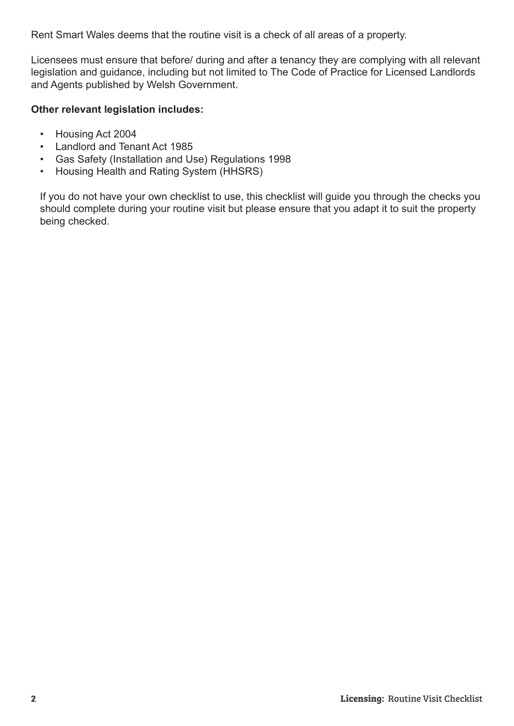Rent Smart Wales deems that the routine visit is a check of all areas of a property.

Licensees must ensure that before/ during and after a tenancy they are complying with all relevant legislation and guidance, including but not limited to The Code of Practice for Licensed Landlords and Agents published by Welsh Government.

#### **Other relevant legislation includes:**

- Housing Act 2004
- Landlord and Tenant Act 1985
- Gas Safety (Installation and Use) Regulations 1998
- Housing Health and Rating System (HHSRS)

If you do not have your own checklist to use, this checklist will guide you through the checks you should complete during your routine visit but please ensure that you adapt it to suit the property being checked.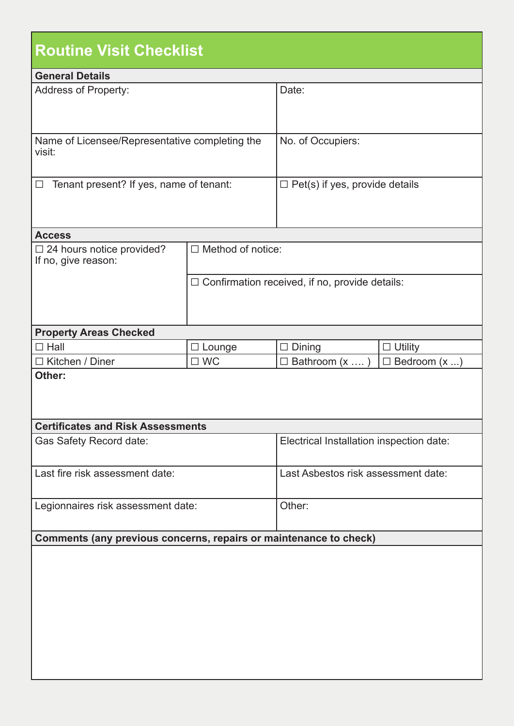| <b>Routine Visit Checklist</b>                                    |                          |                                                       |                            |
|-------------------------------------------------------------------|--------------------------|-------------------------------------------------------|----------------------------|
| <b>General Details</b>                                            |                          |                                                       |                            |
| <b>Address of Property:</b>                                       |                          | Date:                                                 |                            |
| Name of Licensee/Representative completing the<br>visit:          |                          | No. of Occupiers:                                     |                            |
| Tenant present? If yes, name of tenant:<br>$\Box$                 |                          | $\Box$ Pet(s) if yes, provide details                 |                            |
| <b>Access</b>                                                     |                          |                                                       |                            |
| $\Box$ 24 hours notice provided?<br>If no, give reason:           | $\Box$ Method of notice: |                                                       |                            |
|                                                                   |                          | $\Box$ Confirmation received, if no, provide details: |                            |
| <b>Property Areas Checked</b>                                     |                          |                                                       |                            |
| $\square$ Hall                                                    | $\Box$ Lounge            | $\Box$ Dining                                         | $\Box$ Utility             |
| $\Box$ Kitchen / Diner                                            | $\square$ WC             | $\square$ Bathroom (x )                               | $\Box$ Bedroom $(x \dots)$ |
| Other:                                                            |                          |                                                       |                            |
| <b>Certificates and Risk Assessments</b>                          |                          |                                                       |                            |
| Gas Safety Record date:                                           |                          | Electrical Installation inspection date:              |                            |
| Last fire risk assessment date:                                   |                          | Last Asbestos risk assessment date:                   |                            |
| Legionnaires risk assessment date:                                |                          | Other:                                                |                            |
| Comments (any previous concerns, repairs or maintenance to check) |                          |                                                       |                            |
|                                                                   |                          |                                                       |                            |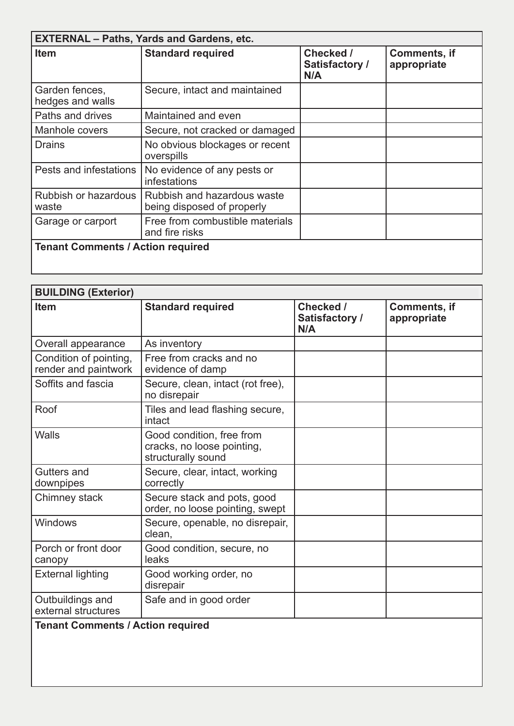| <b>EXTERNAL - Paths, Yards and Gardens, etc.</b> |                                                           |                                    |                             |
|--------------------------------------------------|-----------------------------------------------------------|------------------------------------|-----------------------------|
| <b>Item</b>                                      | <b>Standard required</b>                                  | Checked /<br>Satisfactory /<br>N/A | Comments, if<br>appropriate |
| Garden fences,<br>hedges and walls               | Secure, intact and maintained                             |                                    |                             |
| Paths and drives                                 | Maintained and even                                       |                                    |                             |
| Manhole covers                                   | Secure, not cracked or damaged                            |                                    |                             |
| <b>Drains</b>                                    | No obvious blockages or recent<br>overspills              |                                    |                             |
| Pests and infestations                           | No evidence of any pests or<br>infestations               |                                    |                             |
| Rubbish or hazardous<br>waste                    | Rubbish and hazardous waste<br>being disposed of properly |                                    |                             |
| Garage or carport                                | Free from combustible materials<br>and fire risks         |                                    |                             |
| <b>Tenant Comments / Action required</b>         |                                                           |                                    |                             |

| <b>BUILDING (Exterior)</b>                     |                                                                               |                                    |                                    |
|------------------------------------------------|-------------------------------------------------------------------------------|------------------------------------|------------------------------------|
| <b>Item</b>                                    | <b>Standard required</b>                                                      | Checked /<br>Satisfactory /<br>N/A | <b>Comments, if</b><br>appropriate |
| Overall appearance                             | As inventory                                                                  |                                    |                                    |
| Condition of pointing,<br>render and paintwork | Free from cracks and no<br>evidence of damp                                   |                                    |                                    |
| Soffits and fascia                             | Secure, clean, intact (rot free),<br>no disrepair                             |                                    |                                    |
| Roof                                           | Tiles and lead flashing secure,<br>intact                                     |                                    |                                    |
| Walls                                          | Good condition, free from<br>cracks, no loose pointing,<br>structurally sound |                                    |                                    |
| <b>Gutters and</b><br>downpipes                | Secure, clear, intact, working<br>correctly                                   |                                    |                                    |
| Chimney stack                                  | Secure stack and pots, good<br>order, no loose pointing, swept                |                                    |                                    |
| Windows                                        | Secure, openable, no disrepair,<br>clean,                                     |                                    |                                    |
| Porch or front door<br>canopy                  | Good condition, secure, no<br>leaks                                           |                                    |                                    |
| <b>External lighting</b>                       | Good working order, no<br>disrepair                                           |                                    |                                    |
| Outbuildings and<br>external structures        | Safe and in good order                                                        |                                    |                                    |

#### **Tenant Comments / Action required**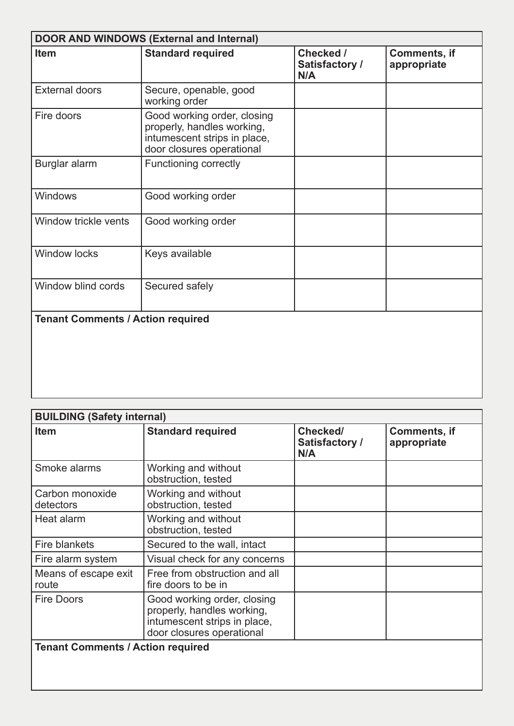| <b>DOOR AND WINDOWS (External and Internal)</b> |                                                                                                                        |                                    |                             |
|-------------------------------------------------|------------------------------------------------------------------------------------------------------------------------|------------------------------------|-----------------------------|
| Item                                            | <b>Standard required</b>                                                                                               | Checked /<br>Satisfactory /<br>N/A | Comments, if<br>appropriate |
| <b>External doors</b>                           | Secure, openable, good<br>working order                                                                                |                                    |                             |
| Fire doors                                      | Good working order, closing<br>properly, handles working,<br>intumescent strips in place,<br>door closures operational |                                    |                             |
| Burglar alarm                                   | <b>Functioning correctly</b>                                                                                           |                                    |                             |
| Windows                                         | Good working order                                                                                                     |                                    |                             |
| Window trickle vents                            | Good working order                                                                                                     |                                    |                             |
| <b>Window locks</b>                             | Keys available                                                                                                         |                                    |                             |
| Window blind cords                              | Secured safely                                                                                                         |                                    |                             |
| <b>Tenant Comments / Action required</b>        |                                                                                                                        |                                    |                             |

| <b>BUILDING (Safety internal)</b>        |                                                                                                                        |                                   |                             |
|------------------------------------------|------------------------------------------------------------------------------------------------------------------------|-----------------------------------|-----------------------------|
| <b>Item</b>                              | <b>Standard required</b>                                                                                               | Checked/<br>Satisfactory /<br>N/A | Comments, if<br>appropriate |
| Smoke alarms                             | Working and without<br>obstruction, tested                                                                             |                                   |                             |
| Carbon monoxide<br>detectors             | Working and without<br>obstruction, tested                                                                             |                                   |                             |
| Heat alarm                               | Working and without<br>obstruction, tested                                                                             |                                   |                             |
| Fire blankets                            | Secured to the wall, intact                                                                                            |                                   |                             |
| Fire alarm system                        | Visual check for any concerns                                                                                          |                                   |                             |
| Means of escape exit<br>route            | Free from obstruction and all<br>fire doors to be in                                                                   |                                   |                             |
| <b>Fire Doors</b>                        | Good working order, closing<br>properly, handles working,<br>intumescent strips in place,<br>door closures operational |                                   |                             |
| <b>Tenant Comments / Action required</b> |                                                                                                                        |                                   |                             |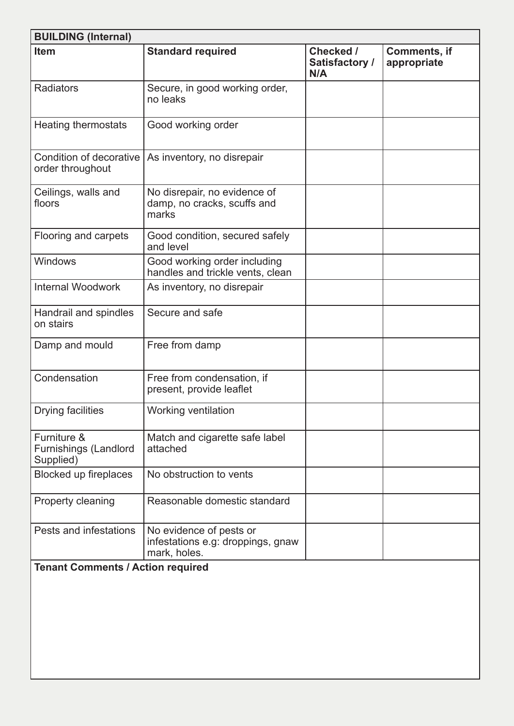| <b>BUILDING (Internal)</b>                               |                                                                              |                                    |                                    |
|----------------------------------------------------------|------------------------------------------------------------------------------|------------------------------------|------------------------------------|
| <b>Item</b>                                              | <b>Standard required</b>                                                     | Checked /<br>Satisfactory /<br>N/A | <b>Comments, if</b><br>appropriate |
| <b>Radiators</b>                                         | Secure, in good working order,<br>no leaks                                   |                                    |                                    |
| <b>Heating thermostats</b>                               | Good working order                                                           |                                    |                                    |
| Condition of decorative<br>order throughout              | As inventory, no disrepair                                                   |                                    |                                    |
| Ceilings, walls and<br>floors                            | No disrepair, no evidence of<br>damp, no cracks, scuffs and<br>marks         |                                    |                                    |
| Flooring and carpets                                     | Good condition, secured safely<br>and level                                  |                                    |                                    |
| Windows                                                  | Good working order including<br>handles and trickle vents, clean             |                                    |                                    |
| <b>Internal Woodwork</b>                                 | As inventory, no disrepair                                                   |                                    |                                    |
| Handrail and spindles<br>on stairs                       | Secure and safe                                                              |                                    |                                    |
| Damp and mould                                           | Free from damp                                                               |                                    |                                    |
| Condensation                                             | Free from condensation, if<br>present, provide leaflet                       |                                    |                                    |
| <b>Drying facilities</b>                                 | <b>Working ventilation</b>                                                   |                                    |                                    |
| Furniture &<br><b>Furnishings (Landlord</b><br>Supplied) | Match and cigarette safe label<br>attached                                   |                                    |                                    |
| Blocked up fireplaces                                    | No obstruction to vents                                                      |                                    |                                    |
| Property cleaning                                        | Reasonable domestic standard                                                 |                                    |                                    |
| Pests and infestations                                   | No evidence of pests or<br>infestations e.g: droppings, gnaw<br>mark, holes. |                                    |                                    |

#### **Tenant Comments / Action required**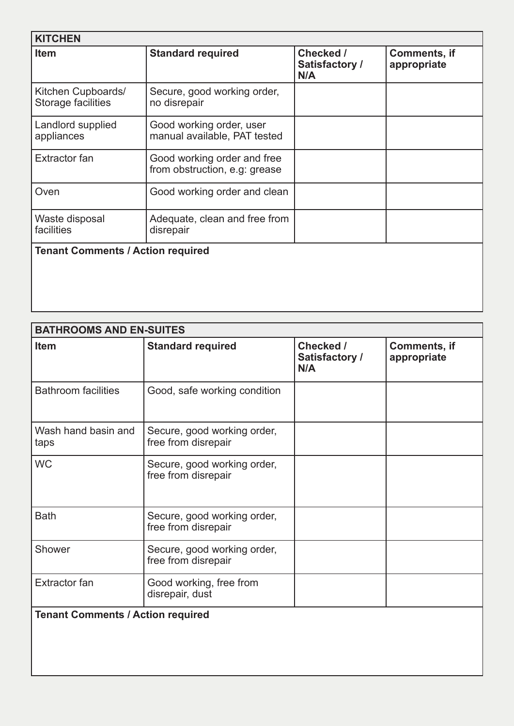| <b>KITCHEN</b>                           |                                                              |                                    |                                    |
|------------------------------------------|--------------------------------------------------------------|------------------------------------|------------------------------------|
| <b>Item</b>                              | <b>Standard required</b>                                     | Checked /<br>Satisfactory /<br>N/A | <b>Comments, if</b><br>appropriate |
| Kitchen Cupboards/<br>Storage facilities | Secure, good working order,<br>no disrepair                  |                                    |                                    |
| Landlord supplied<br>appliances          | Good working order, user<br>manual available, PAT tested     |                                    |                                    |
| Extractor fan                            | Good working order and free<br>from obstruction, e.g. grease |                                    |                                    |
| Oven                                     | Good working order and clean                                 |                                    |                                    |
| Waste disposal<br>facilities             | Adequate, clean and free from<br>disrepair                   |                                    |                                    |
| <b>Tenant Comments / Action required</b> |                                                              |                                    |                                    |

| <b>BATHROOMS AND EN-SUITES</b>           |                                                    |                                    |                                    |
|------------------------------------------|----------------------------------------------------|------------------------------------|------------------------------------|
| Item                                     | <b>Standard required</b>                           | Checked /<br>Satisfactory /<br>N/A | <b>Comments, if</b><br>appropriate |
| <b>Bathroom facilities</b>               | Good, safe working condition                       |                                    |                                    |
| Wash hand basin and<br>taps              | Secure, good working order,<br>free from disrepair |                                    |                                    |
| <b>WC</b>                                | Secure, good working order,<br>free from disrepair |                                    |                                    |
| <b>Bath</b>                              | Secure, good working order,<br>free from disrepair |                                    |                                    |
| Shower                                   | Secure, good working order,<br>free from disrepair |                                    |                                    |
| <b>Extractor fan</b>                     | Good working, free from<br>disrepair, dust         |                                    |                                    |
| <b>Tenant Comments / Action required</b> |                                                    |                                    |                                    |